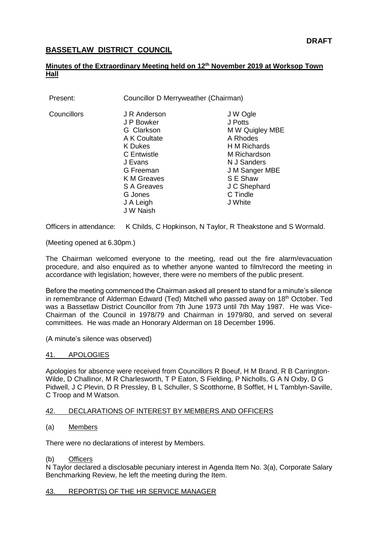# **BASSETLAW DISTRICT COUNCIL**

## **Minutes of the Extraordinary Meeting held on 12th November 2019 at Worksop Town Hall**

| Councillor D Merryweather (Chairman)                                                                                                                                           |                                                                                                                                                                        |
|--------------------------------------------------------------------------------------------------------------------------------------------------------------------------------|------------------------------------------------------------------------------------------------------------------------------------------------------------------------|
| J R Anderson<br>J P Bowker<br>G Clarkson<br>A K Coultate<br><b>K</b> Dukes<br>C Entwistle<br>J Evans<br>G Freeman<br>K M Greaves<br><b>S A Greaves</b><br>G Jones<br>J A Leigh | J W Ogle<br>J Potts<br>M W Quigley MBE<br>A Rhodes<br>H M Richards<br>M Richardson<br>N J Sanders<br>J M Sanger MBE<br>S E Shaw<br>J C Shephard<br>C Tindle<br>J White |
|                                                                                                                                                                                | J W Naish                                                                                                                                                              |

Officers in attendance: K Childs, C Hopkinson, N Taylor, R Theakstone and S Wormald.

(Meeting opened at 6.30pm.)

The Chairman welcomed everyone to the meeting, read out the fire alarm/evacuation procedure, and also enquired as to whether anyone wanted to film/record the meeting in accordance with legislation; however, there were no members of the public present.

Before the meeting commenced the Chairman asked all present to stand for a minute's silence in remembrance of Alderman Edward (Ted) Mitchell who passed away on  $18<sup>th</sup>$  October. Ted was a Bassetlaw District Councillor from 7th June 1973 until 7th May 1987. He was Vice-Chairman of the Council in 1978/79 and Chairman in 1979/80, and served on several committees. He was made an Honorary Alderman on 18 December 1996.

(A minute's silence was observed)

## 41. APOLOGIES

Apologies for absence were received from Councillors R Boeuf, H M Brand, R B Carrington-Wilde, D Challinor, M R Charlesworth, T P Eaton, S Fielding, P Nicholls, G A N Oxby, D G Pidwell, J C Plevin, D R Pressley, B L Schuller, S Scotthorne, B Sofflet, H L Tamblyn-Saville, C Troop and M Watson.

## 42. DECLARATIONS OF INTEREST BY MEMBERS AND OFFICERS

(a) Members

There were no declarations of interest by Members.

## (b) Officers

N Taylor declared a disclosable pecuniary interest in Agenda Item No. 3(a), Corporate Salary Benchmarking Review, he left the meeting during the Item.

# 43. REPORT(S) OF THE HR SERVICE MANAGER